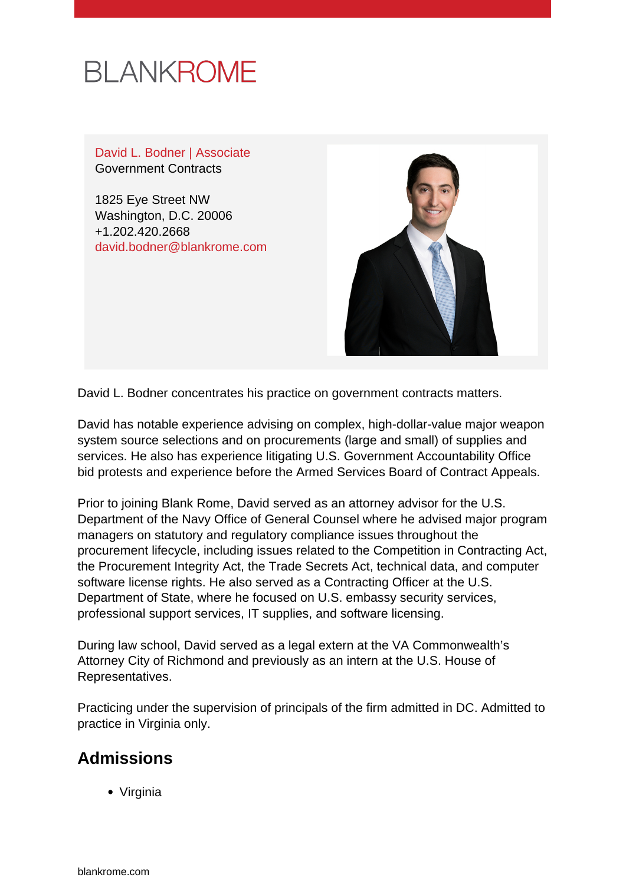

David L. Bodner | Associate Government Contracts

1825 Eye Street NW Washington, D.C. 20006 +1.202.420.2668 [david.bodner@blankrome.com](mailto:david.bodner@blankrome.com)



David L. Bodner concentrates his practice on government contracts matters.

David has notable experience advising on complex, high-dollar-value major weapon system source selections and on procurements (large and small) of supplies and services. He also has experience litigating U.S. Government Accountability Office bid protests and experience before the Armed Services Board of Contract Appeals.

Prior to joining Blank Rome, David served as an attorney advisor for the U.S. Department of the Navy Office of General Counsel where he advised major program managers on statutory and regulatory compliance issues throughout the procurement lifecycle, including issues related to the Competition in Contracting Act, the Procurement Integrity Act, the Trade Secrets Act, technical data, and computer software license rights. He also served as a Contracting Officer at the U.S. Department of State, where he focused on U.S. embassy security services, professional support services, IT supplies, and software licensing.

During law school, David served as a legal extern at the VA Commonwealth's Attorney City of Richmond and previously as an intern at the U.S. House of Representatives.

Practicing under the supervision of principals of the firm admitted in DC. Admitted to practice in Virginia only.

## **Admissions**

Virginia